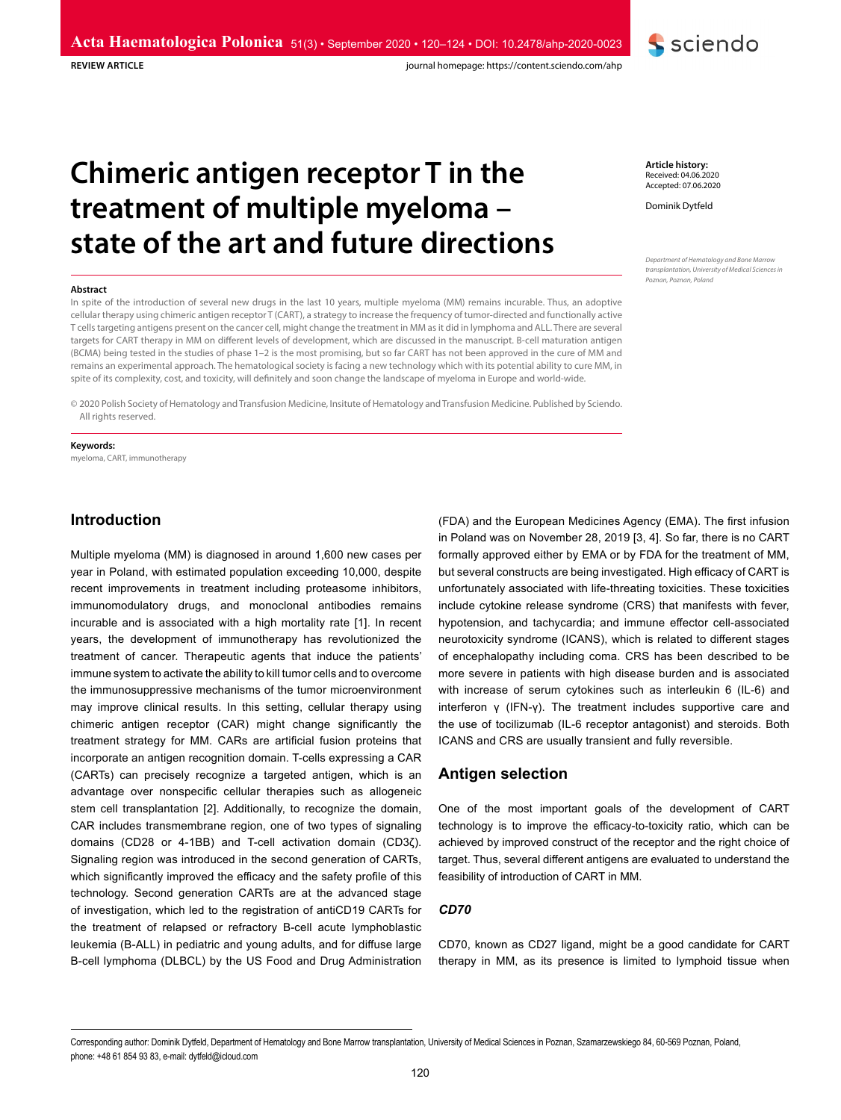**REVIEW ARTICLE** 

journal homepage: https://content.sciendo.com/ahp

# **Chimeric antigen receptor T in the treatment of multiple myeloma – state of the art and future directions**

#### **Abstract**

In spite of the introduction of several new drugs in the last 10 years, multiple myeloma (MM) remains incurable. Thus, an adoptive cellular therapy using chimeric antigen receptor T (CART), a strategy to increase the frequency of tumor-directed and functionally active T cells targeting antigens present on the cancer cell, might change the treatment in MM as it did in lymphoma and ALL. There are several targets for CART therapy in MM on different levels of development, which are discussed in the manuscript. B-cell maturation antigen (BCMA) being tested in the studies of phase 1–2 is the most promising, but so far CART has not been approved in the cure of MM and remains an experimental approach. The hematological society is facing a new technology which with its potential ability to cure MM, in spite of its complexity, cost, and toxicity, will definitely and soon change the landscape of myeloma in Europe and world-wide.

© 2020 Polish Society of Hematology and Transfusion Medicine, Insitute of Hematology and Transfusion Medicine. Published by Sciendo. All rights reserved.

#### **Keywords:**

myeloma, CART, immunotherapy

**Introduction**

Multiple myeloma (MM) is diagnosed in around 1,600 new cases per year in Poland, with estimated population exceeding 10,000, despite recent improvements in treatment including proteasome inhibitors, immunomodulatory drugs, and monoclonal antibodies remains incurable and is associated with a high mortality rate [1]. In recent years, the development of immunotherapy has revolutionized the treatment of cancer. Therapeutic agents that induce the patients' immune system to activate the ability to kill tumor cells and to overcome the immunosuppressive mechanisms of the tumor microenvironment may improve clinical results. In this setting, cellular therapy using chimeric antigen receptor (CAR) might change significantly the treatment strategy for MM. CARs are artificial fusion proteins that incorporate an antigen recognition domain. T-cells expressing a CAR (CARTs) can precisely recognize a targeted antigen, which is an advantage over nonspecific cellular therapies such as allogeneic stem cell transplantation [2]. Additionally, to recognize the domain, CAR includes transmembrane region, one of two types of signaling domains (CD28 or 4-1BB) and T-cell activation domain (CD3ζ). Signaling region was introduced in the second generation of CARTs, which significantly improved the efficacy and the safety profile of this technology. Second generation CARTs are at the advanced stage of investigation, which led to the registration of antiCD19 CARTs for the treatment of relapsed or refractory B-cell acute lymphoblastic leukemia (B-ALL) in pediatric and young adults, and for diffuse large B-cell lymphoma (DLBCL) by the US Food and Drug Administration

(FDA) and the European Medicines Agency (EMA). The first infusion in Poland was on November 28, 2019 [3, 4]. So far, there is no CART formally approved either by EMA or by FDA for the treatment of MM, but several constructs are being investigated. High efficacy of CART is unfortunately associated with life-threating toxicities. These toxicities include cytokine release syndrome (CRS) that manifests with fever, hypotension, and tachycardia; and immune effector cell-associated neurotoxicity syndrome (ICANS), which is related to different stages of encephalopathy including coma. CRS has been described to be more severe in patients with high disease burden and is associated with increase of serum cytokines such as interleukin 6 (IL-6) and interferon γ (IFN-γ). The treatment includes supportive care and the use of tocilizumab (IL-6 receptor antagonist) and steroids. Both ICANS and CRS are usually transient and fully reversible.

## **Antigen selection**

One of the most important goals of the development of CART technology is to improve the efficacy-to-toxicity ratio, which can be achieved by improved construct of the receptor and the right choice of target. Thus, several different antigens are evaluated to understand the feasibility of introduction of CART in MM.

#### *CD70*

CD70, known as CD27 ligand, might be a good candidate for CART therapy in MM, as its presence is limited to lymphoid tissue when

Corresponding author: Dominik Dytfeld, Department of Hematology and Bone Marrow transplantation, University of Medical Sciences in Poznan, Szamarzewskiego 84, 60-569 Poznan, Poland, phone: +48 61 854 93 83, e-mail: dytfeld@icloud.com

Received: 04.06.2020 Accepted: 07.06.2020

Dominik Dytfeld

*Department of Hematology and Bone Marrow transplantation, University of Medical Sciences in Poznan, Poznan, Poland*

**Article history:**

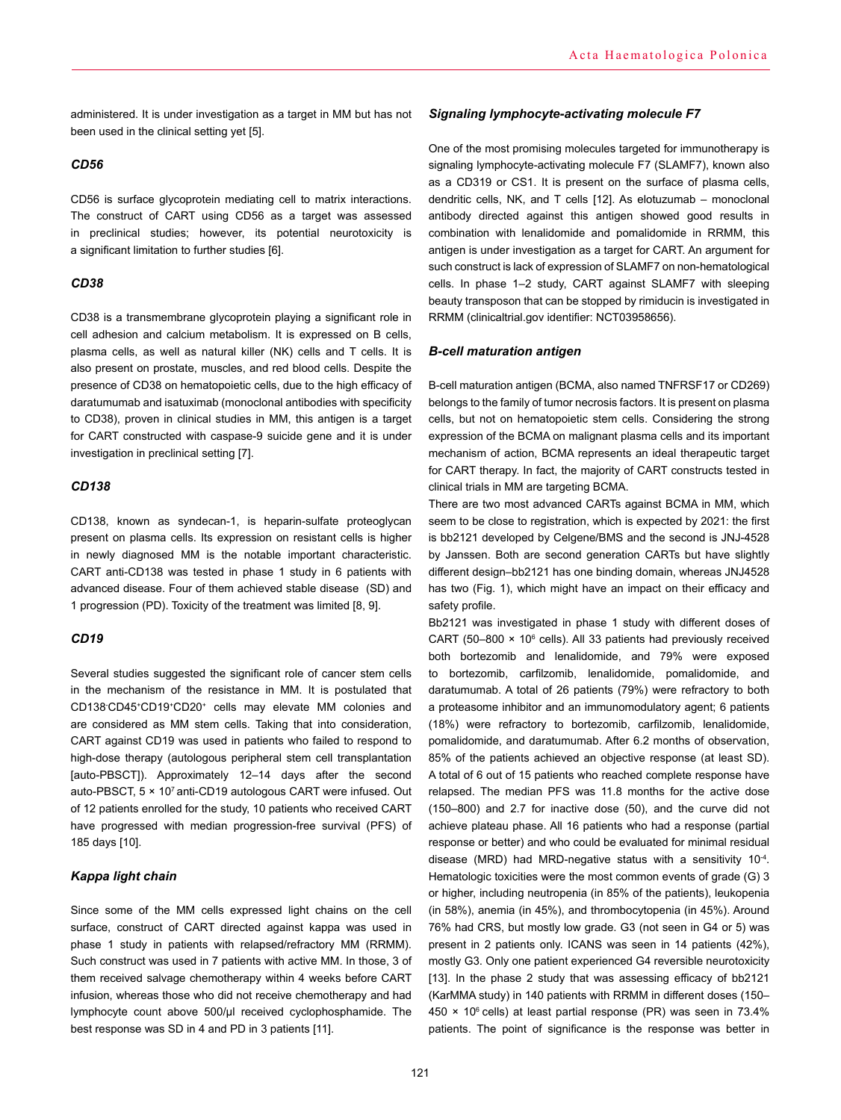administered. It is under investigation as a target in MM but has not been used in the clinical setting yet [5].

#### *CD56*

CD56 is surface glycoprotein mediating cell to matrix interactions. The construct of CART using CD56 as a target was assessed in preclinical studies; however, its potential neurotoxicity is a significant limitation to further studies [6].

## *CD38*

CD38 is a transmembrane glycoprotein playing a significant role in cell adhesion and calcium metabolism. It is expressed on B cells, plasma cells, as well as natural killer (NK) cells and T cells. It is also present on prostate, muscles, and red blood cells. Despite the presence of CD38 on hematopoietic cells, due to the high efficacy of daratumumab and isatuximab (monoclonal antibodies with specificity to CD38), proven in clinical studies in MM, this antigen is a target for CART constructed with caspase-9 suicide gene and it is under investigation in preclinical setting [7].

## *CD138*

CD138, known as syndecan-1, is heparin-sulfate proteoglycan present on plasma cells. Its expression on resistant cells is higher in newly diagnosed MM is the notable important characteristic. CART anti-CD138 was tested in phase 1 study in 6 patients with advanced disease. Four of them achieved stable disease (SD) and 1 progression (PD). Toxicity of the treatment was limited [8, 9].

#### *CD19*

Several studies suggested the significant role of cancer stem cells in the mechanism of the resistance in MM. It is postulated that CD138- CD45+CD19+CD20+ cells may elevate MM colonies and are considered as MM stem cells. Taking that into consideration, CART against CD19 was used in patients who failed to respond to high-dose therapy (autologous peripheral stem cell transplantation [auto-PBSCT]). Approximately 12–14 days after the second auto-PBSCT, 5 × 107 anti-CD19 autologous CART were infused. Out of 12 patients enrolled for the study, 10 patients who received CART have progressed with median progression-free survival (PFS) of 185 days [10].

#### *Kappa light chain*

Since some of the MM cells expressed light chains on the cell surface, construct of CART directed against kappa was used in phase 1 study in patients with relapsed/refractory MM (RRMM). Such construct was used in 7 patients with active MM. In those, 3 of them received salvage chemotherapy within 4 weeks before CART infusion, whereas those who did not receive chemotherapy and had lymphocyte count above 500/µl received cyclophosphamide. The best response was SD in 4 and PD in 3 patients [11].

#### *Signaling lymphocyte-activating molecule F7*

One of the most promising molecules targeted for immunotherapy is signaling lymphocyte-activating molecule F7 (SLAMF7), known also as a CD319 or CS1. It is present on the surface of plasma cells, dendritic cells, NK, and T cells [12]. As elotuzumab – monoclonal antibody directed against this antigen showed good results in combination with lenalidomide and pomalidomide in RRMM, this antigen is under investigation as a target for CART. An argument for such construct is lack of expression of SLAMF7 on non-hematological cells. In phase 1–2 study, CART against SLAMF7 with sleeping beauty transposon that can be stopped by rimiducin is investigated in RRMM (clinicaltrial.gov identifier: NCT03958656).

## *B-cell maturation antigen*

B-cell maturation antigen (BCMA, also named TNFRSF17 or CD269) belongs to the family of tumor necrosis factors. It is present on plasma cells, but not on hematopoietic stem cells. Considering the strong expression of the BCMA on malignant plasma cells and its important mechanism of action, BCMA represents an ideal therapeutic target for CART therapy. In fact, the majority of CART constructs tested in clinical trials in MM are targeting BCMA.

There are two most advanced CARTs against BCMA in MM, which seem to be close to registration, which is expected by 2021: the first is bb2121 developed by Celgene/BMS and the second is JNJ-4528 by Janssen. Both are second generation CARTs but have slightly different design–bb2121 has one binding domain, whereas JNJ4528 has two (Fig. 1), which might have an impact on their efficacy and safety profile.

Bb2121 was investigated in phase 1 study with different doses of CART (50–800  $\times$  10 $^{\circ}$  cells). All 33 patients had previously received both bortezomib and lenalidomide, and 79% were exposed to bortezomib, carfilzomib, lenalidomide, pomalidomide, and daratumumab. A total of 26 patients (79%) were refractory to both a proteasome inhibitor and an immunomodulatory agent; 6 patients (18%) were refractory to bortezomib, carfilzomib, lenalidomide, pomalidomide, and daratumumab. After 6.2 months of observation, 85% of the patients achieved an objective response (at least SD). A total of 6 out of 15 patients who reached complete response have relapsed. The median PFS was 11.8 months for the active dose (150–800) and 2.7 for inactive dose (50), and the curve did not achieve plateau phase. All 16 patients who had a response (partial response or better) and who could be evaluated for minimal residual disease (MRD) had MRD-negative status with a sensitivity 10<sup>-4</sup>. Hematologic toxicities were the most common events of grade (G) 3 or higher, including neutropenia (in 85% of the patients), leukopenia (in 58%), anemia (in 45%), and thrombocytopenia (in 45%). Around 76% had CRS, but mostly low grade. G3 (not seen in G4 or 5) was present in 2 patients only. ICANS was seen in 14 patients (42%), mostly G3. Only one patient experienced G4 reversible neurotoxicity [13]. In the phase 2 study that was assessing efficacy of bb2121 (KarMMA study) in 140 patients with RRMM in different doses (150–  $450 \times 10^6$  cells) at least partial response (PR) was seen in 73.4% patients. The point of significance is the response was better in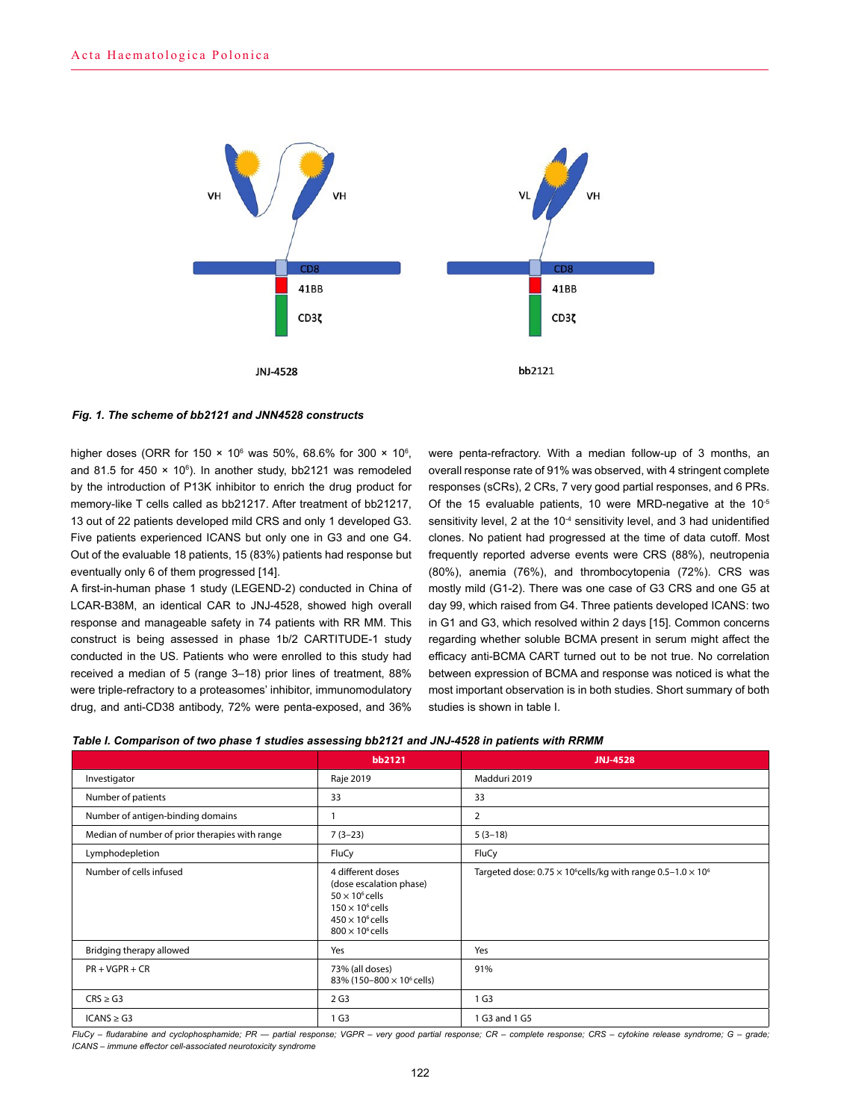

#### *Fig. 1. The scheme of bb2121 and JNN4528 constructs*

higher doses (ORR for 150  $\times$  10 $^{\rm 6}$  was 50%, 68.6% for 300  $\times$  10 $^{\rm 6}$ , and 81.5 for 450  $\times$  10 $^{\circ}$ ). In another study, bb2121 was remodeled by the introduction of P13K inhibitor to enrich the drug product for memory-like T cells called as bb21217. After treatment of bb21217, 13 out of 22 patients developed mild CRS and only 1 developed G3. Five patients experienced ICANS but only one in G3 and one G4. Out of the evaluable 18 patients, 15 (83%) patients had response but eventually only 6 of them progressed [14].

A first-in-human phase 1 study (LEGEND-2) conducted in China of LCAR-B38M, an identical CAR to JNJ-4528, showed high overall response and manageable safety in 74 patients with RR MM. This construct is being assessed in phase 1b/2 CARTITUDE-1 study conducted in the US. Patients who were enrolled to this study had received a median of 5 (range 3–18) prior lines of treatment, 88% were triple-refractory to a proteasomes' inhibitor, immunomodulatory drug, and anti-CD38 antibody, 72% were penta-exposed, and 36%

were penta-refractory. With a median follow-up of 3 months, an overall response rate of 91% was observed, with 4 stringent complete responses (sCRs), 2 CRs, 7 very good partial responses, and 6 PRs. Of the 15 evaluable patients, 10 were MRD-negative at the  $10^{-5}$ sensitivity level, 2 at the  $10<sup>-4</sup>$  sensitivity level, and 3 had unidentified clones. No patient had progressed at the time of data cutoff. Most frequently reported adverse events were CRS (88%), neutropenia (80%), anemia (76%), and thrombocytopenia (72%). CRS was mostly mild (G1-2). There was one case of G3 CRS and one G5 at day 99, which raised from G4. Three patients developed ICANS: two in G1 and G3, which resolved within 2 days [15]. Common concerns regarding whether soluble BCMA present in serum might affect the efficacy anti-BCMA CART turned out to be not true. No correlation between expression of BCMA and response was noticed is what the most important observation is in both studies. Short summary of both studies is shown in table I.

|                                                | bb2121                                                                                                                                                  | <b>JNJ-4528</b>                                                             |
|------------------------------------------------|---------------------------------------------------------------------------------------------------------------------------------------------------------|-----------------------------------------------------------------------------|
| Investigator                                   | Raje 2019                                                                                                                                               | Madduri 2019                                                                |
| Number of patients                             | 33                                                                                                                                                      | 33                                                                          |
| Number of antigen-binding domains              |                                                                                                                                                         | 2                                                                           |
| Median of number of prior therapies with range | $7(3-23)$                                                                                                                                               | $5(3-18)$                                                                   |
| Lymphodepletion                                | FluCy                                                                                                                                                   | FluCy                                                                       |
| Number of cells infused                        | 4 different doses<br>(dose escalation phase)<br>$50 \times 10^6$ cells<br>$150 \times 10^6$ cells<br>$450 \times 10^6$ cells<br>$800 \times 10^6$ cells | Targeted dose: $0.75 \times 10^6$ cells/kg with range $0.5-1.0 \times 10^6$ |
| Bridging therapy allowed                       | Yes                                                                                                                                                     | Yes                                                                         |
| $PR + VGPR + CR$                               | 73% (all doses)<br>83% (150-800 × 10 <sup>6</sup> cells)                                                                                                | 91%                                                                         |
| $CRS \geq G3$                                  | 2 <sub>G3</sub>                                                                                                                                         | 1 G3                                                                        |
| $ICANS \geq G3$                                | 1 G3                                                                                                                                                    | 1 G3 and 1 G5                                                               |

*FluCy – fludarabine and cyclophosphamide; PR — partial response; VGPR – very good partial response; CR – complete response; CRS – cytokine release syndrome; G – grade; ICANS – immune effector cell-associated neurotoxicity syndrome*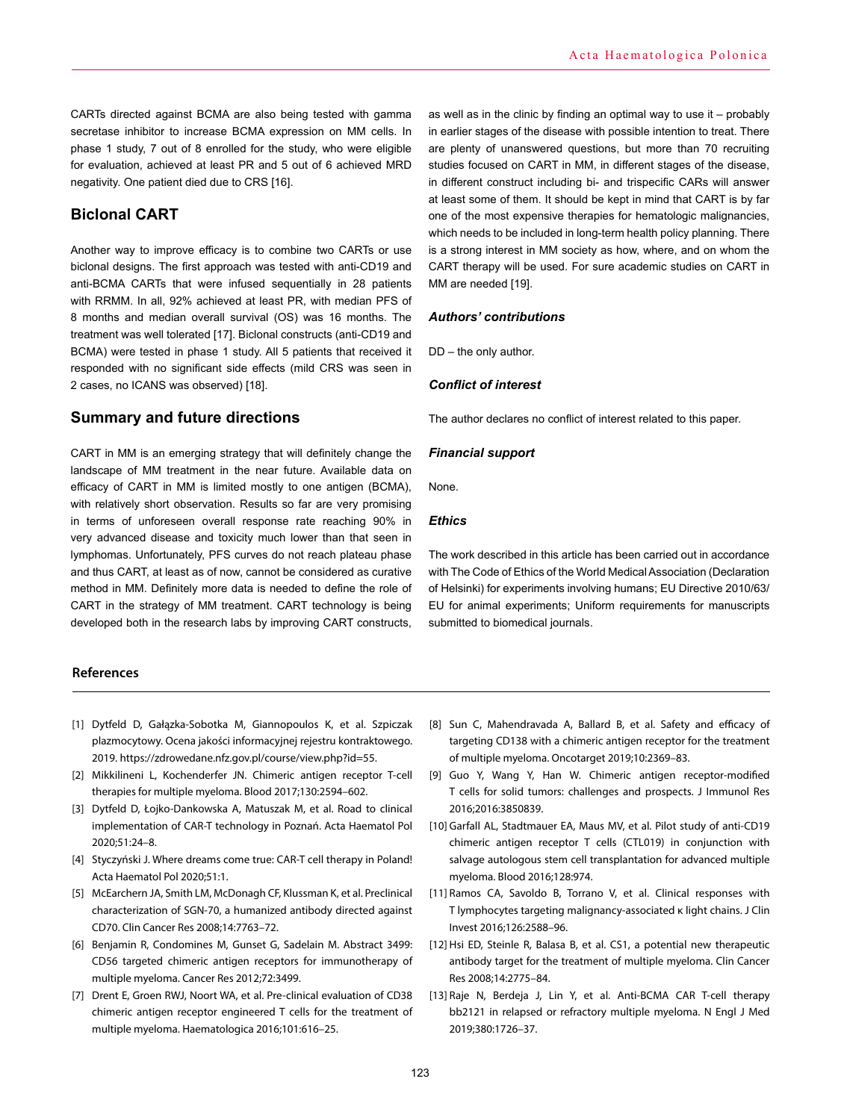CARTs directed against BCMA are also being tested with gamma secretase inhibitor to increase BCMA expression on MM cells. In phase 1 study, 7 out of 8 enrolled for the study, who were eligible for evaluation, achieved at least PR and 5 out of 6 achieved MRD negativity. One patient died due to CRS [16].

# **Biclonal CART**

Another way to improve efficacy is to combine two CARTs or use biclonal designs. The first approach was tested with anti-CD19 and anti-BCMA CARTs that were infused sequentially in 28 patients with RRMM. In all, 92% achieved at least PR, with median PFS of 8 months and median overall survival (OS) was 16 months. The treatment was well tolerated [17]. Biclonal constructs (anti-CD19 and BCMA) were tested in phase 1 study. All 5 patients that received it responded with no significant side effects (mild CRS was seen in 2 cases, no ICANS was observed) [18].

# **Summary and future directions**

CART in MM is an emerging strategy that will definitely change the landscape of MM treatment in the near future. Available data on efficacy of CART in MM is limited mostly to one antigen (BCMA), with relatively short observation. Results so far are very promising in terms of unforeseen overall response rate reaching 90% in very advanced disease and toxicity much lower than that seen in lymphomas. Unfortunately, PFS curves do not reach plateau phase and thus CART, at least as of now, cannot be considered as curative method in MM. Definitely more data is needed to define the role of CART in the strategy of MM treatment. CART technology is being developed both in the research labs by improving CART constructs,

**References**

- [1] Dytfeld D, Gałązka-Sobotka M, Giannopoulos K, et al. Szpiczak plazmocytowy. Ocena jakości informacyjnej rejestru kontraktowego. 2019. https://zdrowedane.nfz.gov.pl/course/view.php?id=55.
- [2] Mikkilineni L, Kochenderfer JN. Chimeric antigen receptor T-cell therapies for multiple myeloma. Blood 2017;130:2594–602.
- [3] Dytfeld D, Łojko-Dankowska A, Matuszak M, et al. Road to clinical implementation of CAR-T technology in Poznań. Acta Haematol Pol 2020;51:24–8.
- [4] Styczyński J. Where dreams come true: CAR-T cell therapy in Poland! Acta Haematol Pol 2020;51:1.
- [5] McEarchern JA, Smith LM, McDonagh CF, Klussman K, et al. Preclinical characterization of SGN-70, a humanized antibody directed against CD70. Clin Cancer Res 2008;14:7763–72.
- [6] Benjamin R, Condomines M, Gunset G, Sadelain M. Abstract 3499: CD56 targeted chimeric antigen receptors for immunotherapy of multiple myeloma. Cancer Res 2012;72:3499.
- [7] Drent E, Groen RWJ, Noort WA, et al. Pre-clinical evaluation of CD38 chimeric antigen receptor engineered T cells for the treatment of multiple myeloma. Haematologica 2016;101:616–25.

as well as in the clinic by finding an optimal way to use it – probably in earlier stages of the disease with possible intention to treat. There are plenty of unanswered questions, but more than 70 recruiting studies focused on CART in MM, in different stages of the disease, in different construct including bi- and trispecific CARs will answer at least some of them. It should be kept in mind that CART is by far one of the most expensive therapies for hematologic malignancies, which needs to be included in long-term health policy planning. There is a strong interest in MM society as how, where, and on whom the CART therapy will be used. For sure academic studies on CART in MM are needed [19].

### *Authors' contributions*

DD – the only author.

#### *Conflict of interest*

The author declares no conflict of interest related to this paper.

#### *Financial support*

None.

### *Ethics*

The work described in this article has been carried out in accordance with The Code of Ethics of the World Medical Association (Declaration of Helsinki) for experiments involving humans; EU Directive 2010/63/ EU for animal experiments; Uniform requirements for manuscripts submitted to biomedical journals.

- [8] Sun C, Mahendravada A, Ballard B, et al. Safety and efficacy of targeting CD138 with a chimeric antigen receptor for the treatment of multiple myeloma. Oncotarget 2019;10:2369–83.
- [9] Guo Y, Wang Y, Han W. Chimeric antigen receptor-modified T cells for solid tumors: challenges and prospects. J Immunol Res 2016;2016:3850839.
- [10] Garfall AL, Stadtmauer EA, Maus MV, et al. Pilot study of anti-CD19 chimeric antigen receptor T cells (CTL019) in conjunction with salvage autologous stem cell transplantation for advanced multiple myeloma. Blood 2016;128:974.
- [11] Ramos CA, Savoldo B, Torrano V, et al. Clinical responses with T lymphocytes targeting malignancy-associated κ light chains. J Clin Invest 2016;126:2588–96.
- [12] Hsi ED, Steinle R, Balasa B, et al. CS1, a potential new therapeutic antibody target for the treatment of multiple myeloma. Clin Cancer Res 2008;14:2775–84.
- [13] Raje N, Berdeja J, Lin Y, et al. Anti-BCMA CAR T-cell therapy bb2121 in relapsed or refractory multiple myeloma. N Engl J Med 2019;380:1726–37.